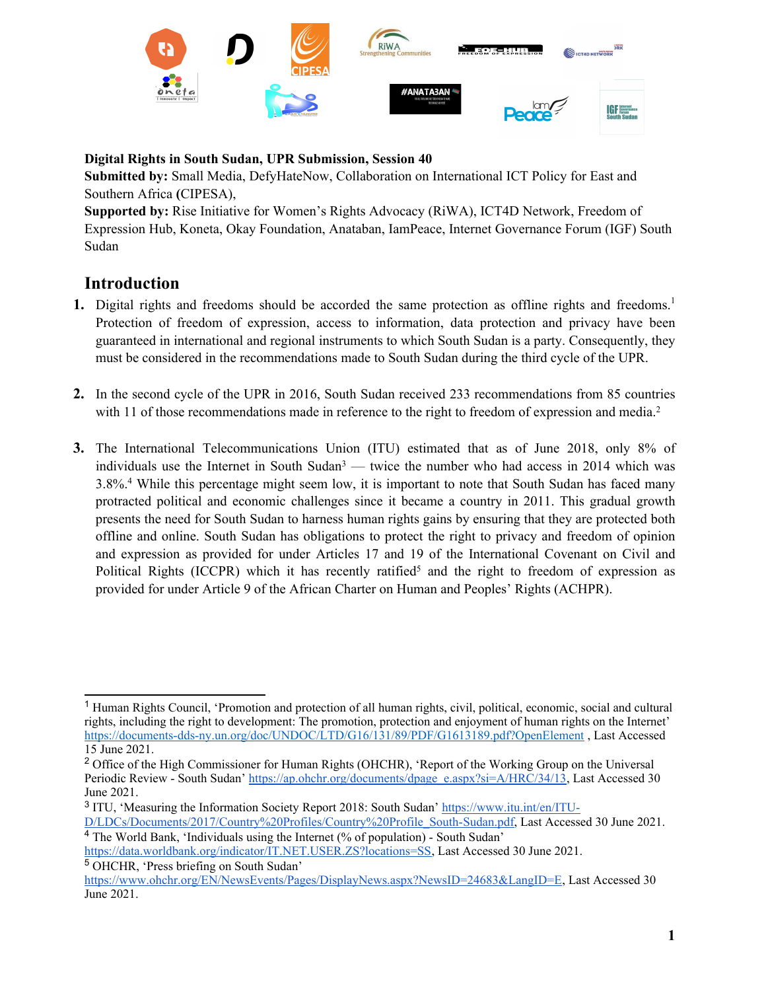

**Digital Rights in South Sudan, UPR Submission, Session 40**

**Submitted by:** Small Media, DefyHateNow, Collaboration on International ICT Policy for East and Southern Africa **(**CIPESA),

**Supported by:** Rise Initiative for Women'<sup>s</sup> Rights Advocacy (RiWA), ICT4D Network, Freedom of Expression Hub, Koneta, Okay Foundation, Anataban, IamPeace, Internet Governance Forum (IGF) South Sudan

# **Introduction**

- **1.** Digital rights and freedoms should be accorded the same protection as offline rights and freedoms. 1 Protection of freedom of expression, access to information, data protection and privacy have been guaranteed in international and regional instruments to which South Sudan is <sup>a</sup> party. Consequently, they must be considered in the recommendations made to South Sudan during the third cycle of the UPR.
- **2.** In the second cycle of the UPR in 2016, South Sudan received 233 recommendations from 85 countries with 11 of those recommendations made in reference to the right to freedom of expression and media.<sup>2</sup>
- **3.** The International Telecommunications Union (ITU) estimated that as of June 2018, only 8% of individuals use the Internet in South Sudan<sup>3</sup> — twice the number who had access in 2014 which was 3.8%. <sup>4</sup> While this percentage might seem low, it is important to note that South Sudan has faced many protracted political and economic challenges since it became <sup>a</sup> country in 2011. This gradual growth presents the need for South Sudan to harness human rights gains by ensuring that they are protected both offline and online. South Sudan has obligations to protect the right to privacy and freedom of opinion and expression as provided for under Articles 17 and 19 of the International Covenant on Civil and Political Rights (ICCPR) which it has recently ratified<sup>5</sup> and the right to freedom of expression as provided for under Article 9 of the African Charter on Human and Peoples' Rights (ACHPR).

<sup>1</sup> Human Rights Council, 'Promotion and protection of all human rights, civil, political, economic, social and cultural rights, including the right to development: The promotion, protection and enjoyment of human rights on the Internet' <https://documents-dds-ny.un.org/doc/UNDOC/LTD/G16/131/89/PDF/G1613189.pdf?OpenElement> , Last Accessed 15 June 2021.

<sup>&</sup>lt;sup>2</sup> Office of the High Commissioner for Human Rights (OHCHR), 'Report of the Working Group on the Universal Periodic Review - South Sudan' [https://ap.ohchr.org/documents/dpage\\_e.aspx?si=A/HRC/34/13](https://ap.ohchr.org/documents/dpage_e.aspx?si=A/HRC/34/13), Last Accessed 30 June 2021.

<sup>3</sup> ITU, 'Measuring the Information Society Report 2018: South Sudan' [https://www.itu.int/en/ITU-](https://www.itu.int/en/ITU-D/LDCs/Documents/2017/Country%20Profiles/Country%20Profile_South-Sudan.pdf)

[D/LDCs/Documents/2017/Country%20Profiles/Country%20Profile\\_South-Sudan.pdf](https://www.itu.int/en/ITU-D/LDCs/Documents/2017/Country%20Profiles/Country%20Profile_South-Sudan.pdf), Last Accessed 30 June 2021. 4 The World Bank, 'Individuals using the Internet (% of population) - South Sudan'

<https://data.worldbank.org/indicator/IT.NET.USER.ZS?locations=SS>, Last Accessed 30 June 2021. <sup>5</sup> OHCHR, 'Press briefing on South Sudan'

<https://www.ohchr.org/EN/NewsEvents/Pages/DisplayNews.aspx?NewsID=24683&LangID=E>, Last Accessed 30 June 2021.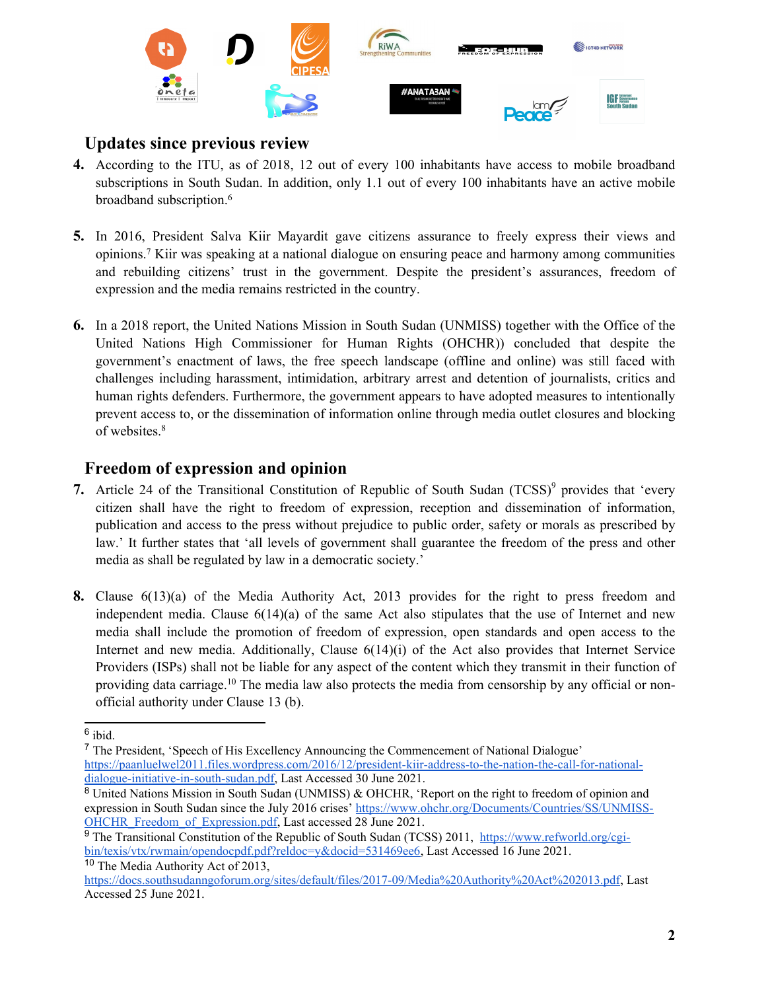

# **Updates since previous review**

- **4.** According to the ITU, as of 2018, 12 out of every 100 inhabitants have access to mobile broadband subscriptions in South Sudan. In addition, only 1.1 out of every 100 inhabitants have an active mobile broadband subscription. 6
- **5.** In 2016, President Salva Kiir Mayardit gave citizens assurance to freely express their views and opinions. <sup>7</sup> Kiir was speaking at <sup>a</sup> national dialogue on ensuring peace and harmony among communities and rebuilding citizens' trust in the government. Despite the president'<sup>s</sup> assurances, freedom of expression and the media remains restricted in the country.
- **6.** In <sup>a</sup> 2018 report, the United Nations Mission in South Sudan (UNMISS) together with the Office of the United Nations High Commissioner for Human Rights (OHCHR)) concluded that despite the government'<sup>s</sup> enactment of laws, the free speech landscape (offline and online) was still faced with challenges including harassment, intimidation, arbitrary arrest and detention of journalists, critics and human rights defenders. Furthermore, the governmen<sup>t</sup> appears to have adopted measures to intentionally preven<sup>t</sup> access to, or the dissemination of information online through media outlet closures and blocking of websites. 8

## **Freedom of expression and opinion**

- 7. Article 24 of the Transitional Constitution of Republic of South Sudan (TCSS)<sup>9</sup> provides that 'every citizen shall have the right to freedom of expression, reception and dissemination of information, publication and access to the press without prejudice to public order, safety or morals as prescribed by law.' It further states that 'all levels of governmen<sup>t</sup> shall guarantee the freedom of the press and other media as shall be regulated by law in <sup>a</sup> democratic society.'
- **8.** Clause 6(13)(a) of the Media Authority Act, 2013 provides for the right to press freedom and independent media. Clause  $6(14)(a)$  of the same Act also stipulates that the use of Internet and new media shall include the promotion of freedom of expression, open standards and open access to the Internet and new media. Additionally, Clause  $6(14)(i)$  of the Act also provides that Internet Service Providers (ISPs) shall not be liable for any aspec<sup>t</sup> of the content which they transmit in their function of providing data carriage.<sup>10</sup> The media law also protects the media from censorship by any official or nonofficial authority under Clause 13 (b).

<sup>6</sup> ibid.

<sup>7</sup> The President, 'Speech of His Excellency Announcing the Commencement of National Dialogue' [https://paanluelwel2011.files.wordpress.com/2016/12/president-kiir-address-to-the-nation-the-call-for-national](https://paanluelwel2011.files.wordpress.com/2016/12/president-kiir-address-to-the-nation-the-call-for-national-dialogue-initiative-in-south-sudan.pdf)[dialogue-initiative-in-south-sudan.pdf](https://paanluelwel2011.files.wordpress.com/2016/12/president-kiir-address-to-the-nation-the-call-for-national-dialogue-initiative-in-south-sudan.pdf), Last Accessed 30 June 2021.

<sup>8</sup> United Nations Mission in South Sudan (UNMISS) & OHCHR, 'Report on the right to freedom of opinion and expression in South Sudan since the July 2016 crises' [https://www.ohchr.org/Documents/Countries/SS/UNMISS-](https://www.ohchr.org/Documents/Countries/SS/UNMISS-OHCHR_Freedom_of_Expression.pdf)OHCHR Freedom of Expression.pdf, Last accessed 28 June 2021.

<sup>&</sup>lt;sup>9</sup> The Transitional Constitution of the Republic of South Sudan (TCSS) 2011, [https://www.refworld.org/cgi](https://www.refworld.org/cgi-bin/texis/vtx/rwmain/opendocpdf.pdf?reldoc=y&docid=531469ee6)[bin/texis/vtx/rwmain/opendocpdf.pdf?reldoc=y&docid=531469ee6](https://www.refworld.org/cgi-bin/texis/vtx/rwmain/opendocpdf.pdf?reldoc=y&docid=531469ee6), Last Accessed 16 June 2021. <sup>10</sup> The Media Authority Act of 2013,

<https://docs.southsudanngoforum.org/sites/default/files/2017-09/Media%20Authority%20Act%202013.pdf>, Last Accessed 25 June 2021.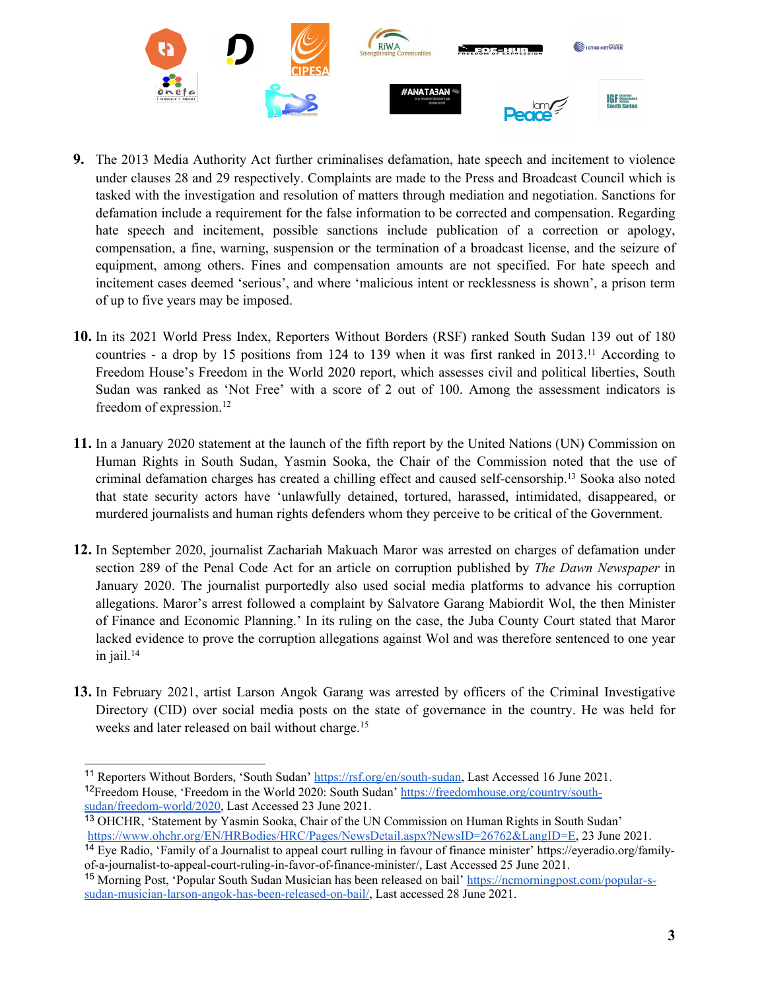

- **9.** The 2013 Media Authority Act further criminalises defamation, hate speech and incitement to violence under clauses 28 and 29 respectively. Complaints are made to the Press and Broadcast Council which is tasked with the investigation and resolution of matters through mediation and negotiation. Sanctions for defamation include <sup>a</sup> requirement for the false information to be corrected and compensation. Regarding hate speech and incitement, possible sanctions include publication of <sup>a</sup> correction or apology, compensation, <sup>a</sup> fine, warning, suspension or the termination of <sup>a</sup> broadcast license, and the seizure of equipment, among others. Fines and compensation amounts are not specified. For hate speech and incitement cases deemed 'serious', and where 'malicious intent or recklessness is shown', <sup>a</sup> prison term of up to five years may be imposed.
- **10.** In its 2021 World Press Index, Reporters Without Borders (RSF) ranked South Sudan 139 out of 180 countries - a drop by 15 positions from 124 to 139 when it was first ranked in 2013.<sup>11</sup> According to Freedom House'<sup>s</sup> Freedom in the World 2020 report, which assesses civil and political liberties, South Sudan was ranked as 'Not Free' with <sup>a</sup> score of 2 out of 100. Among the assessment indicators is freedom of expression.<sup>12</sup>
- **11.** In <sup>a</sup> January 2020 statement at the launch of the fifth repor<sup>t</sup> by the United Nations (UN) Commission on Human Rights in South Sudan, Yasmin Sooka, the Chair of the Commission noted that the use of criminal defamation charges has created <sup>a</sup> chilling effect and caused self-censorship. 13 Sooka also noted that state security actors have 'unlawfully detained, tortured, harassed, intimidated, disappeared, or murdered journalists and human rights defenders whom they perceive to be critical of the Government.
- **12.** In September 2020, journalist Zachariah Makuach Maror was arrested on charges of defamation under section 289 of the Penal Code Act for an article on corruption published by *The Dawn Newspaper* in January 2020. The journalist purportedly also used social media platforms to advance his corruption allegations. Maror'<sup>s</sup> arrest followed <sup>a</sup> complaint by Salvatore Garang Mabiordit Wol, the then Minister of Finance and Economic Planning.' In its ruling on the case, the Juba County Court stated that Maror lacked evidence to prove the corruption allegations against Wol and was therefore sentenced to one year in jail. 14
- **13.** In February 2021, artist Larson Angok Garang was arrested by officers of the Criminal Investigative Directory (CID) over social media posts on the state of governance in the country. He was held for weeks and later released on bail without charge. 15

<sup>13</sup> OHCHR, 'Statement by Yasmin Sooka, Chair of the UN Commission on Human Rights in South Sudan' <https://www.ohchr.org/EN/HRBodies/HRC/Pages/NewsDetail.aspx?NewsID=26762&LangID=E>, 23 June 2021.

<sup>&</sup>lt;sup>11</sup> Reporters Without Borders, 'South Sudan' <https://rsf.org/en/south-sudan>, Last Accessed 16 June 2021. <sup>12</sup>Freedom House, 'Freedom in the World 2020: South Sudan' [https://freedomhouse.org/country/south](https://freedomhouse.org/country/south-sudan/freedom-world/2020)[sudan/freedom-world/2020](https://freedomhouse.org/country/south-sudan/freedom-world/2020), Last Accessed 23 June 2021.

<sup>&</sup>lt;sup>14</sup> Eye Radio, 'Family of a Journalist to appeal court rulling in favour of finance minister' [https://eyeradio.org/family](https://eyeradio.org/family-of-a-journalist-to-appeal-court-ruling-in-favor-of-finance-minister/)[of-a-journalist-to-appeal-court-ruling-in-favor-of-finance-minister](https://eyeradio.org/family-of-a-journalist-to-appeal-court-ruling-in-favor-of-finance-minister/)/, Last Accessed 25 June 2021.

<sup>15</sup> Morning Post, 'Popular South Sudan Musician has been released on bail' [https://ncmorningpost.com/popular-s](https://ncmorningpost.com/popular-s-sudan-musician-larson-angok-has-been-released-on-bail/)[sudan-musician-larson-angok-has-been-released-on-bail/](https://ncmorningpost.com/popular-s-sudan-musician-larson-angok-has-been-released-on-bail/), Last accessed 28 June 2021.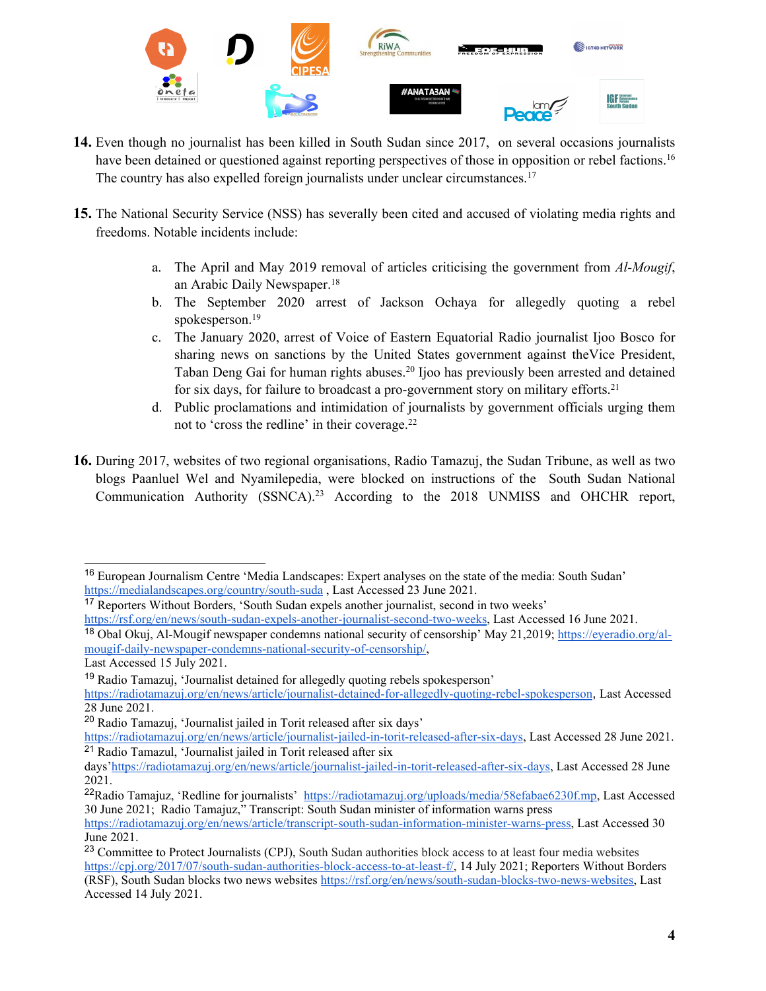

- **14.** Even though no journalist has been killed in South Sudan since 2017, on several occasions journalists have been detained or questioned against reporting perspectives of those in opposition or rebel factions.<sup>16</sup> The country has also expelled foreign journalists under unclear circumstances.<sup>17</sup>
- **15.** The National Security Service (NSS) has severally been cited and accused of violating media rights and freedoms. Notable incidents include:
	- a. The April and May 2019 removal of articles criticising the governmen<sup>t</sup> from *Al-Mougif*, an Arabic Daily Newspaper. 18
	- b. The September 2020 arrest of Jackson Ochaya for allegedly quoting <sup>a</sup> rebel spokesperson. 19
	- c. The January 2020, arrest of Voice of Eastern Equatorial Radio journalist Ijoo Bosco for sharing news on sanctions by the United States governmen<sup>t</sup> against theVice President, Taban Deng Gai for human rights abuses. 20 Ijoo has previously been arrested and detained for six days, for failure to broadcast <sup>a</sup> pro-governmen<sup>t</sup> story on military efforts. 21
	- d. Public proclamations and intimidation of journalists by governmen<sup>t</sup> officials urging them not to 'cross the redline' in their coverage.<sup>22</sup>
- **16.** During 2017, websites of two regional organisations, Radio Tamazuj, the Sudan Tribune, as well as two blogs Paanluel Wel and Nyamilepedia, were blocked on instructions of the South Sudan National Communication Authority (SSNCA). <sup>23</sup> According to the 2018 UNMISS and OHCHR report,

<sup>&</sup>lt;sup>16</sup> European Journalism Centre 'Media Landscapes: Expert analyses on the state of the media: South Sudan' [https://medialandscapes.org/country/south-suda](https://medialandscapes.org/country/south-sudan), Last Accessed 23 June 2021.

<sup>&</sup>lt;sup>17</sup> Reporters Without Borders, 'South Sudan expels another journalist, second in two weeks'

<https://rsf.org/en/news/south-sudan-expels-another-journalist-second-two-weeks>, Last Accessed 16 June 2021.

<sup>18</sup> Obal Okuj, Al-Mougif newspaper condemns national security of censorship' May 21,2019; [https://eyeradio.org/al](https://eyeradio.org/al-mougif-daily-newspaper-condemns-national-security-of-censorship/)moug[if-daily-newspaper-condemns-national-security-of-censorship/](https://eyeradio.org/al-mougif-daily-newspaper-condemns-national-security-of-censorship/),

Last Accessed 15 July 2021.

<sup>&</sup>lt;sup>19</sup> Radio Tamazuj, 'Journalist detained for allegedly quoting rebels spokesperson'

<https://radiotamazuj.org/en/news/article/journalist-detained-for-allegedly-quoting-rebel-spokesperson>, Last Accessed 28 June 2021.

<sup>&</sup>lt;sup>20</sup> Radio Tamazuj, 'Journalist jailed in Torit released after six days'

<https://radiotamazuj.org/en/news/article/journalist-jailed-in-torit-released-after-six-days>, Last Accessed 28 June 2021. <sup>21</sup> Radio Tamazul, 'Journalist jailed in Torit released after six

days'<https://radiotamazuj.org/en/news/article/journalist-jailed-in-torit-released-after-six-days>, Last Accessed 28 June 2021.

<sup>&</sup>lt;sup>22</sup>Radio Tamajuz, 'Redline for journalists' [https://radiotamazuj.org/uploads/media/58efabae6230f.mp](https://radiotamazuj.org/uploads/media/58efabae6230f.mp3), Last Accessed 30 June 2021; Radio Tamajuz," Transcript: South Sudan minister of information warns press

<https://radiotamazuj.org/en/news/article/transcript-south-sudan-information-minister-warns-press>, Last Accessed 30 June 2021.

<sup>&</sup>lt;sup>23</sup> Committee to Protect Journalists (CPJ), South Sudan authorities block access to at least four media websites <https://cpj.org/2017/07/south-sudan-authorities-block-access-to-at-least-f/>, 14 July 2021; Reporters Without Borders (RSF), South Sudan blocks two news websites <https://rsf.org/en/news/south-sudan-blocks-two-news-websites>, Last Accessed 14 July 2021.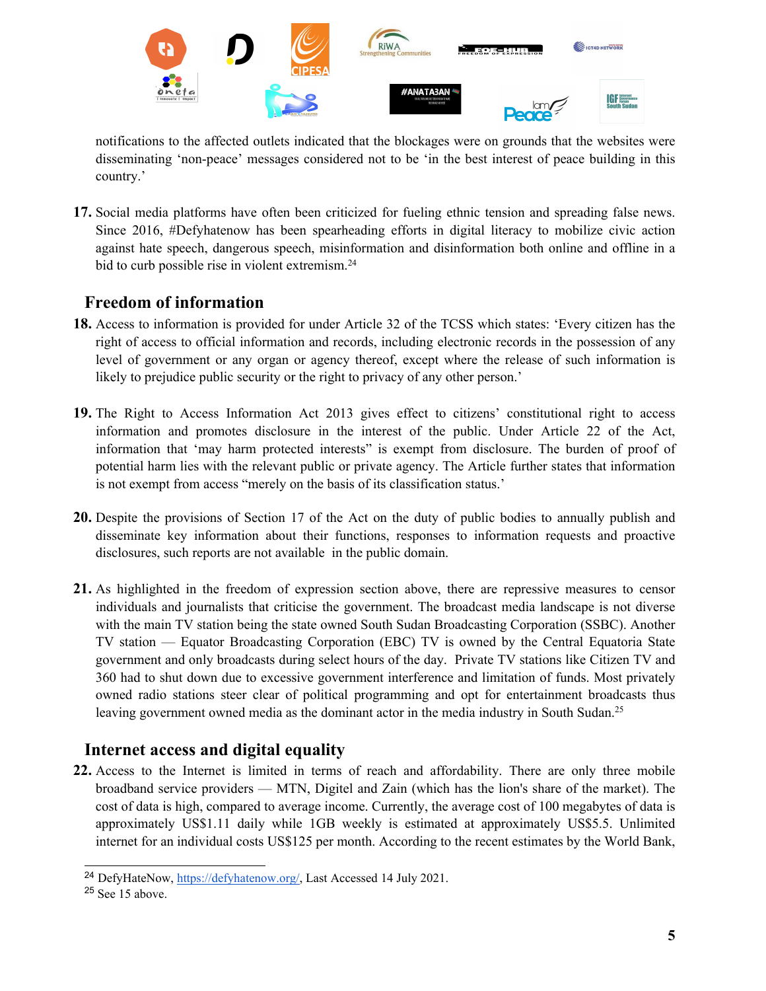

notifications to the affected outlets indicated that the blockages were on grounds that the websites were disseminating 'non-peace' messages considered not to be 'in the best interest of peace building in this country.'

**17.** Social media platforms have often been criticized for fueling ethnic tension and spreading false news. Since 2016, #Defyhatenow has been spearheading efforts in digital literacy to mobilize civic action against hate speech, dangerous speech, misinformation and disinformation both online and offline in <sup>a</sup> bid to curb possible rise in violent extremism.<sup>24</sup>

## **Freedom of information**

- **18.** Access to information is provided for under Article 32 of the TCSS which states: 'Every citizen has the right of access to official information and records, including electronic records in the possession of any level of governmen<sup>t</sup> or any organ or agency thereof, excep<sup>t</sup> where the release of such information is likely to prejudice public security or the right to privacy of any other person.'
- **19.** The Right to Access Information Act 2013 gives effect to citizens' constitutional right to access information and promotes disclosure in the interest of the public. Under Article 22 of the Act, information that 'may harm protected interests" is exemp<sup>t</sup> from disclosure. The burden of proof of potential harm lies with the relevant public or private agency. The Article further states that information is not exemp<sup>t</sup> from access "merely on the basis of its classification status.'
- **20.** Despite the provisions of Section 17 of the Act on the duty of public bodies to annually publish and disseminate key information about their functions, responses to information requests and proactive disclosures, such reports are not available in the public domain.
- **21.** As highlighted in the freedom of expression section above, there are repressive measures to censor individuals and journalists that criticise the government. The broadcast media landscape is not diverse with the main TV station being the state owned South Sudan Broadcasting Corporation (SSBC). Another TV station — Equator Broadcasting Corporation (EBC) TV is owned by the Central Equatoria State governmen<sup>t</sup> and only broadcasts during select hours of the day. Private TV stations like Citizen TV and 360 had to shut down due to excessive governmen<sup>t</sup> interference and limitation of funds. Most privately owned radio stations steer clear of political programming and op<sup>t</sup> for entertainment broadcasts thus leaving government owned media as the dominant actor in the media industry in South Sudan.<sup>25</sup>

## **Internet access and digital equality**

**22.** Access to the Internet is limited in terms of reach and affordability. There are only three mobile broadband service providers — MTN, Digitel and Zain (which has the lion's share of the market). The cost of data is high, compared to average income. Currently, the average cost of 100 megabytes of data is approximately US\$1.11 daily while 1GB weekly is estimated at approximately US\$5.5. Unlimited internet for an individual costs US\$125 per month. According to the recent estimates by the World Bank,

<sup>&</sup>lt;sup>24</sup> DefyHateNow, <https://defyhatenow.org/>, Last Accessed 14 July 2021.

<sup>&</sup>lt;sup>25</sup> See 15 above.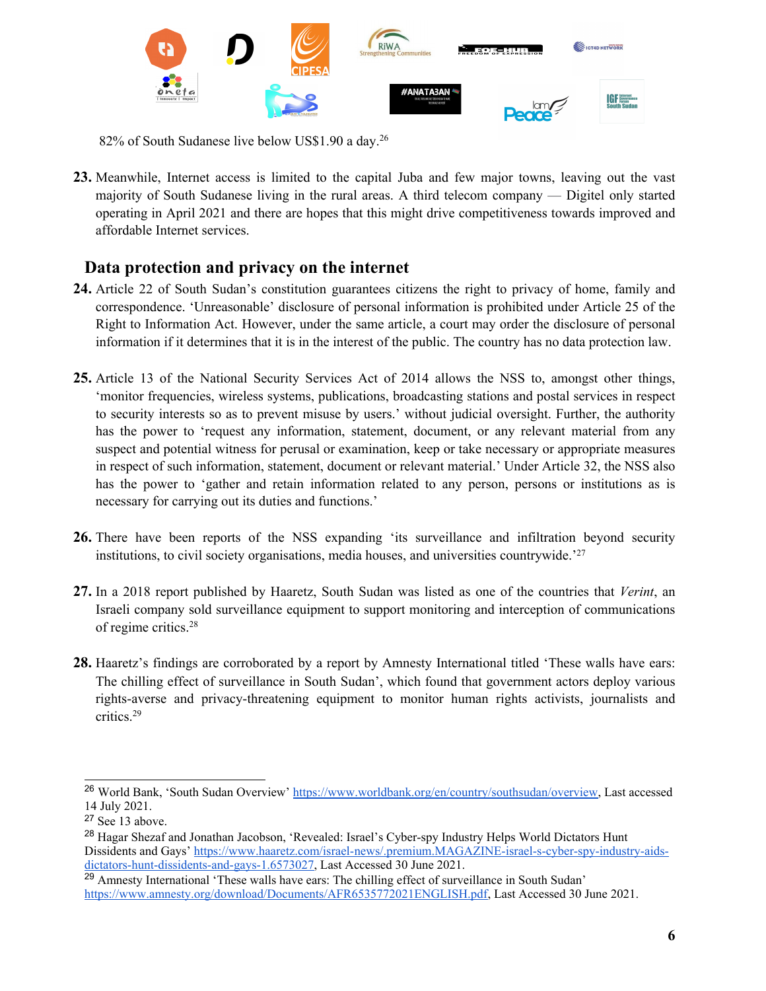

 $82\%$  of South Sudanese live below US\$1.90 a day. $^{26}$ 

**23.** Meanwhile, Internet access is limited to the capital Juba and few major towns, leaving out the vast majority of South Sudanese living in the rural areas. A third telecom company — Digitel only started operating in April 2021 and there are hopes that this might drive competitiveness towards improved and affordable Internet services.

# **Data protection and privacy on the internet**

- **24.** Article 22 of South Sudan'<sup>s</sup> constitution guarantees citizens the right to privacy of home, family and correspondence. 'Unreasonable' disclosure of personal information is prohibited under Article 25 of the Right to Information Act. However, under the same article, <sup>a</sup> court may order the disclosure of personal information if it determines that it is in the interest of the public. The country has no data protection law.
- **25.** Article 13 of the National Security Services Act of 2014 allows the NSS to, amongs<sup>t</sup> other things, 'monitor frequencies, wireless systems, publications, broadcasting stations and postal services in respec<sup>t</sup> to security interests so as to preven<sup>t</sup> misuse by users.' without judicial oversight. Further, the authority has the power to 'request any information, statement, document, or any relevant material from any suspec<sup>t</sup> and potential witness for perusal or examination, keep or take necessary or appropriate measures in respec<sup>t</sup> of such information, statement, document or relevant material.' Under Article 32, the NSS also has the power to 'gather and retain information related to any person, persons or institutions as is necessary for carrying out its duties and functions.'
- **26.** There have been reports of the NSS expanding 'its surveillance and infiltration beyond security institutions, to civil society organisations, media houses, and universities countrywide.<sup>'27</sup>
- **27.** In <sup>a</sup> 2018 repor<sup>t</sup> published by Haaretz, South Sudan was listed as one of the countries that *Verint*, an Israeli company sold surveillance equipment to suppor<sup>t</sup> monitoring and interception of communications of regime critics. 28
- **28.** Haaretz'<sup>s</sup> findings are corroborated by <sup>a</sup> repor<sup>t</sup> by Amnesty International titled 'These walls have ears: The chilling effect of surveillance in South Sudan', which found that governmen<sup>t</sup> actors deploy various rights-averse and privacy-threatening equipment to monitor human rights activists, journalists and critics. 29

<sup>26</sup> World Bank, 'South Sudan Overview' <https://www.worldbank.org/en/country/southsudan/overview>, Last accessed 14 July 2021.

<sup>&</sup>lt;sup>27</sup> See 13 above.

<sup>&</sup>lt;sup>28</sup> Hagar Shezaf and Jonathan Jacobson, 'Revealed: Israel's Cyber-spy Industry Helps World Dictators Hunt Dissidents and Gays' [https://www.haaretz.com/israel-news/.premium.MAGAZINE-israel-s-cyber-spy-industry-aids](https://www.haaretz.com/israel-news/.premium.MAGAZINE-israel-s-cyber-spy-industry-aids-dictators-hunt-dissidents-and-gays-1.6573027)[dictators-hunt-dissidents-and-gays-1.6573027](https://www.haaretz.com/israel-news/.premium.MAGAZINE-israel-s-cyber-spy-industry-aids-dictators-hunt-dissidents-and-gays-1.6573027), Last Accessed 30 June 2021.

<sup>&</sup>lt;sup>29</sup> Amnesty International 'These walls have ears: The chilling effect of surveillance in South Sudan' <https://www.amnesty.org/download/Documents/AFR6535772021ENGLISH.pdf>, Last Accessed 30 June 2021.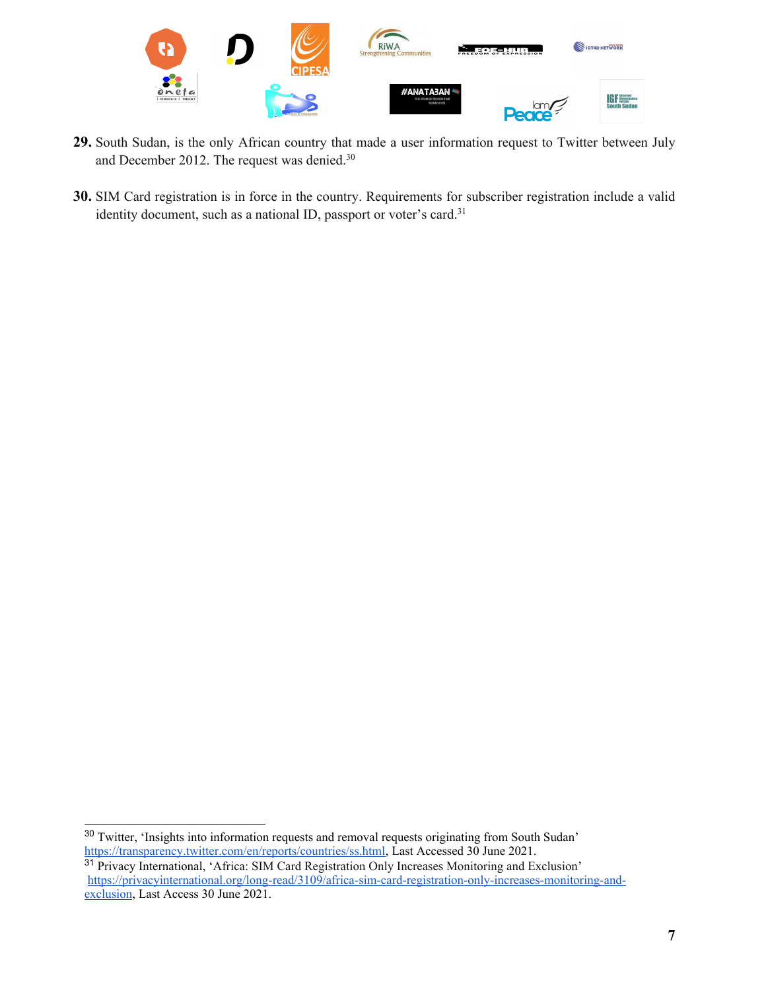

- **29.** South Sudan, is the only African country that made <sup>a</sup> user information reques<sup>t</sup> to Twitter between July and December 2012. The request was denied.<sup>30</sup>
- **30.** SIM Card registration is in force in the country. Requirements for subscriber registration include <sup>a</sup> valid identity document, such as a national ID, passport or voter's card.<sup>31</sup>

<sup>&</sup>lt;sup>30</sup> Twitter, 'Insights into information requests and removal requests originating from South Sudan' <https://transparency.twitter.com/en/reports/countries/ss.html>, Last Accessed 30 June 2021.

<sup>&</sup>lt;sup>31</sup> Privacy International, 'Africa: SIM Card Registration Only Increases Monitoring and Exclusion' [https://privacyinternational.org/long-read/3109/africa-sim-card-registration-only-increases-monitoring-and](https://privacyinternational.org/long-read/3109/africa-sim-card-registration-only-increases-monitoring-and-exclusion)[exclusion](https://privacyinternational.org/long-read/3109/africa-sim-card-registration-only-increases-monitoring-and-exclusion), Last Access 30 June 2021.